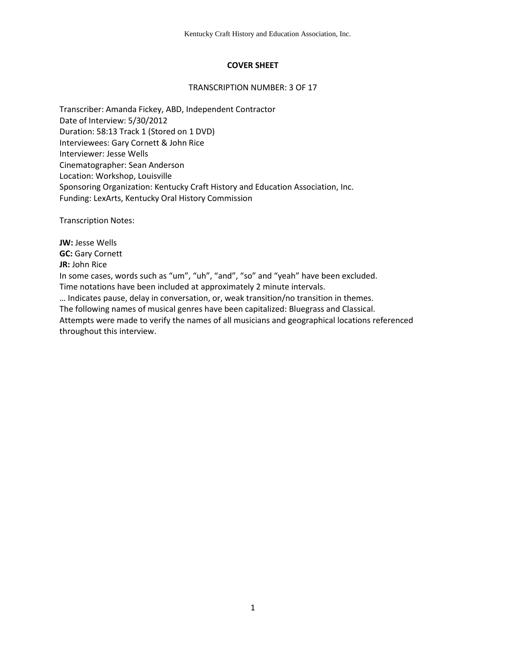# **COVER SHEET**

### TRANSCRIPTION NUMBER: 3 OF 17

Transcriber: Amanda Fickey, ABD, Independent Contractor Date of Interview: 5/30/2012 Duration: 58:13 Track 1 (Stored on 1 DVD) Interviewees: Gary Cornett & John Rice Interviewer: Jesse Wells Cinematographer: Sean Anderson Location: Workshop, Louisville Sponsoring Organization: Kentucky Craft History and Education Association, Inc. Funding: LexArts, Kentucky Oral History Commission

Transcription Notes:

**JW:** Jesse Wells **GC:** Gary Cornett **JR:** John Rice In some cases, words such as "um", "uh", "and", "so" and "yeah" have been excluded. Time notations have been included at approximately 2 minute intervals. … Indicates pause, delay in conversation, or, weak transition/no transition in themes. The following names of musical genres have been capitalized: Bluegrass and Classical. Attempts were made to verify the names of all musicians and geographical locations referenced throughout this interview.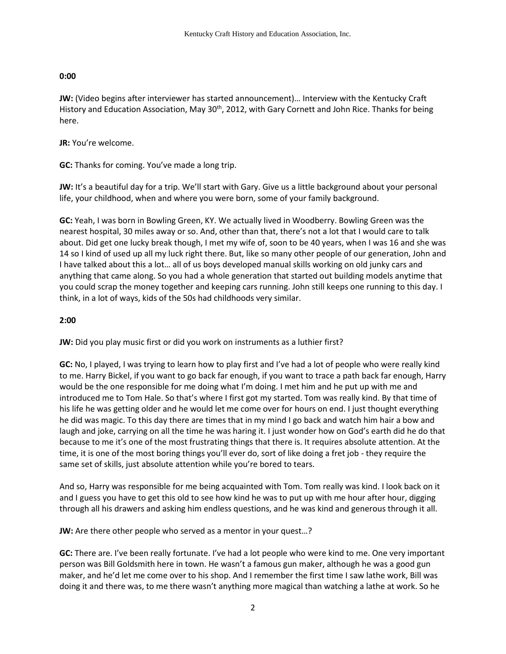# **0:00**

**JW:** (Video begins after interviewer has started announcement)… Interview with the Kentucky Craft History and Education Association, May 30<sup>th</sup>, 2012, with Gary Cornett and John Rice. Thanks for being here.

**JR:** You're welcome.

**GC:** Thanks for coming. You've made a long trip.

**JW:** It's a beautiful day for a trip. We'll start with Gary. Give us a little background about your personal life, your childhood, when and where you were born, some of your family background.

**GC:** Yeah, I was born in Bowling Green, KY. We actually lived in Woodberry. Bowling Green was the nearest hospital, 30 miles away or so. And, other than that, there's not a lot that I would care to talk about. Did get one lucky break though, I met my wife of, soon to be 40 years, when I was 16 and she was 14 so I kind of used up all my luck right there. But, like so many other people of our generation, John and I have talked about this a lot… all of us boys developed manual skills working on old junky cars and anything that came along. So you had a whole generation that started out building models anytime that you could scrap the money together and keeping cars running. John still keeps one running to this day. I think, in a lot of ways, kids of the 50s had childhoods very similar.

# **2:00**

**JW:** Did you play music first or did you work on instruments as a luthier first?

**GC:** No, I played, I was trying to learn how to play first and I've had a lot of people who were really kind to me. Harry Bickel, if you want to go back far enough, if you want to trace a path back far enough, Harry would be the one responsible for me doing what I'm doing. I met him and he put up with me and introduced me to Tom Hale. So that's where I first got my started. Tom was really kind. By that time of his life he was getting older and he would let me come over for hours on end. I just thought everything he did was magic. To this day there are times that in my mind I go back and watch him hair a bow and laugh and joke, carrying on all the time he was haring it. I just wonder how on God's earth did he do that because to me it's one of the most frustrating things that there is. It requires absolute attention. At the time, it is one of the most boring things you'll ever do, sort of like doing a fret job - they require the same set of skills, just absolute attention while you're bored to tears.

And so, Harry was responsible for me being acquainted with Tom. Tom really was kind. I look back on it and I guess you have to get this old to see how kind he was to put up with me hour after hour, digging through all his drawers and asking him endless questions, and he was kind and generous through it all.

**JW:** Are there other people who served as a mentor in your quest…?

**GC:** There are. I've been really fortunate. I've had a lot people who were kind to me. One very important person was Bill Goldsmith here in town. He wasn't a famous gun maker, although he was a good gun maker, and he'd let me come over to his shop. And I remember the first time I saw lathe work, Bill was doing it and there was, to me there wasn't anything more magical than watching a lathe at work. So he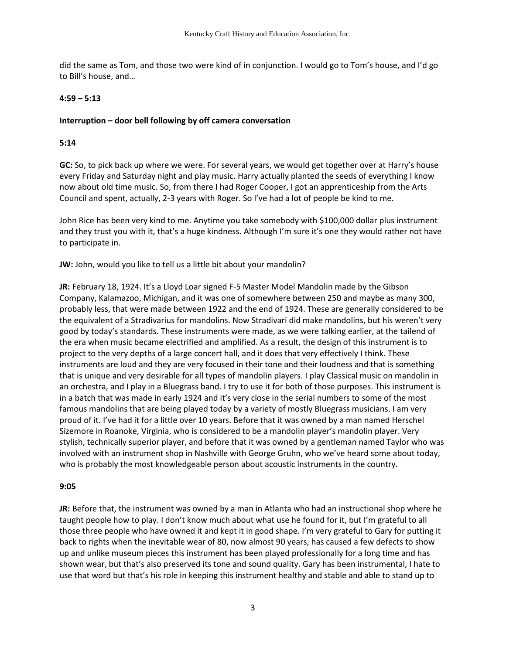did the same as Tom, and those two were kind of in conjunction. I would go to Tom's house, and I'd go to Bill's house, and…

### **4:59 – 5:13**

## **Interruption – door bell following by off camera conversation**

### **5:14**

**GC:** So, to pick back up where we were. For several years, we would get together over at Harry's house every Friday and Saturday night and play music. Harry actually planted the seeds of everything I know now about old time music. So, from there I had Roger Cooper, I got an apprenticeship from the Arts Council and spent, actually, 2-3 years with Roger. So I've had a lot of people be kind to me.

John Rice has been very kind to me. Anytime you take somebody with \$100,000 dollar plus instrument and they trust you with it, that's a huge kindness. Although I'm sure it's one they would rather not have to participate in.

**JW:** John, would you like to tell us a little bit about your mandolin?

**JR:** February 18, 1924. It's a Lloyd Loar signed F-5 Master Model Mandolin made by the Gibson Company, Kalamazoo, Michigan, and it was one of somewhere between 250 and maybe as many 300, probably less, that were made between 1922 and the end of 1924. These are generally considered to be the equivalent of a Stradivarius for mandolins. Now Stradivari did make mandolins, but his weren't very good by today's standards. These instruments were made, as we were talking earlier, at the tailend of the era when music became electrified and amplified. As a result, the design of this instrument is to project to the very depths of a large concert hall, and it does that very effectively I think. These instruments are loud and they are very focused in their tone and their loudness and that is something that is unique and very desirable for all types of mandolin players. I play Classical music on mandolin in an orchestra, and I play in a Bluegrass band. I try to use it for both of those purposes. This instrument is in a batch that was made in early 1924 and it's very close in the serial numbers to some of the most famous mandolins that are being played today by a variety of mostly Bluegrass musicians. I am very proud of it. I've had it for a little over 10 years. Before that it was owned by a man named Herschel Sizemore in Roanoke, Virginia, who is considered to be a mandolin player's mandolin player. Very stylish, technically superior player, and before that it was owned by a gentleman named Taylor who was involved with an instrument shop in Nashville with George Gruhn, who we've heard some about today, who is probably the most knowledgeable person about acoustic instruments in the country.

#### **9:05**

**JR:** Before that, the instrument was owned by a man in Atlanta who had an instructional shop where he taught people how to play. I don't know much about what use he found for it, but I'm grateful to all those three people who have owned it and kept it in good shape. I'm very grateful to Gary for putting it back to rights when the inevitable wear of 80, now almost 90 years, has caused a few defects to show up and unlike museum pieces this instrument has been played professionally for a long time and has shown wear, but that's also preserved its tone and sound quality. Gary has been instrumental, I hate to use that word but that's his role in keeping this instrument healthy and stable and able to stand up to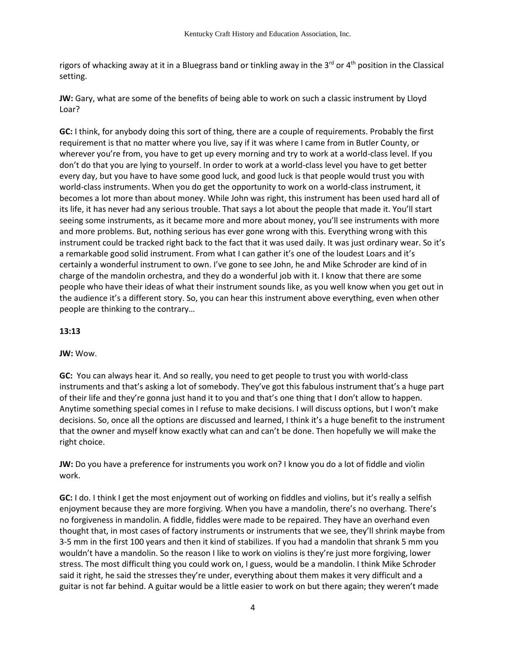rigors of whacking away at it in a Bluegrass band or tinkling away in the  $3<sup>rd</sup>$  or  $4<sup>th</sup>$  position in the Classical setting.

**JW:** Gary, what are some of the benefits of being able to work on such a classic instrument by Lloyd Loar?

**GC:** I think, for anybody doing this sort of thing, there are a couple of requirements. Probably the first requirement is that no matter where you live, say if it was where I came from in Butler County, or wherever you're from, you have to get up every morning and try to work at a world-class level. If you don't do that you are lying to yourself. In order to work at a world-class level you have to get better every day, but you have to have some good luck, and good luck is that people would trust you with world-class instruments. When you do get the opportunity to work on a world-class instrument, it becomes a lot more than about money. While John was right, this instrument has been used hard all of its life, it has never had any serious trouble. That says a lot about the people that made it. You'll start seeing some instruments, as it became more and more about money, you'll see instruments with more and more problems. But, nothing serious has ever gone wrong with this. Everything wrong with this instrument could be tracked right back to the fact that it was used daily. It was just ordinary wear. So it's a remarkable good solid instrument. From what I can gather it's one of the loudest Loars and it's certainly a wonderful instrument to own. I've gone to see John, he and Mike Schroder are kind of in charge of the mandolin orchestra, and they do a wonderful job with it. I know that there are some people who have their ideas of what their instrument sounds like, as you well know when you get out in the audience it's a different story. So, you can hear this instrument above everything, even when other people are thinking to the contrary…

# **13:13**

## **JW:** Wow.

**GC:** You can always hear it. And so really, you need to get people to trust you with world-class instruments and that's asking a lot of somebody. They've got this fabulous instrument that's a huge part of their life and they're gonna just hand it to you and that's one thing that I don't allow to happen. Anytime something special comes in I refuse to make decisions. I will discuss options, but I won't make decisions. So, once all the options are discussed and learned, I think it's a huge benefit to the instrument that the owner and myself know exactly what can and can't be done. Then hopefully we will make the right choice.

**JW:** Do you have a preference for instruments you work on? I know you do a lot of fiddle and violin work.

**GC:** I do. I think I get the most enjoyment out of working on fiddles and violins, but it's really a selfish enjoyment because they are more forgiving. When you have a mandolin, there's no overhang. There's no forgiveness in mandolin. A fiddle, fiddles were made to be repaired. They have an overhand even thought that, in most cases of factory instruments or instruments that we see, they'll shrink maybe from 3-5 mm in the first 100 years and then it kind of stabilizes. If you had a mandolin that shrank 5 mm you wouldn't have a mandolin. So the reason I like to work on violins is they're just more forgiving, lower stress. The most difficult thing you could work on, I guess, would be a mandolin. I think Mike Schroder said it right, he said the stresses they're under, everything about them makes it very difficult and a guitar is not far behind. A guitar would be a little easier to work on but there again; they weren't made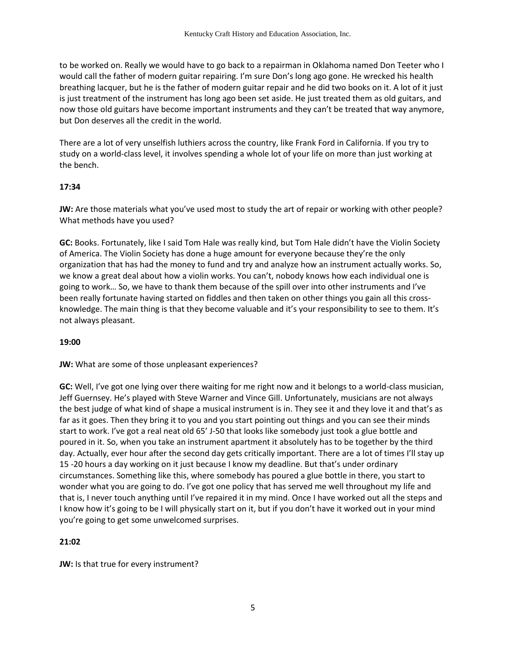to be worked on. Really we would have to go back to a repairman in Oklahoma named Don Teeter who I would call the father of modern guitar repairing. I'm sure Don's long ago gone. He wrecked his health breathing lacquer, but he is the father of modern guitar repair and he did two books on it. A lot of it just is just treatment of the instrument has long ago been set aside. He just treated them as old guitars, and now those old guitars have become important instruments and they can't be treated that way anymore, but Don deserves all the credit in the world.

There are a lot of very unselfish luthiers across the country, like Frank Ford in California. If you try to study on a world-class level, it involves spending a whole lot of your life on more than just working at the bench.

## **17:34**

**JW:** Are those materials what you've used most to study the art of repair or working with other people? What methods have you used?

**GC:** Books. Fortunately, like I said Tom Hale was really kind, but Tom Hale didn't have the Violin Society of America. The Violin Society has done a huge amount for everyone because they're the only organization that has had the money to fund and try and analyze how an instrument actually works. So, we know a great deal about how a violin works. You can't, nobody knows how each individual one is going to work… So, we have to thank them because of the spill over into other instruments and I've been really fortunate having started on fiddles and then taken on other things you gain all this crossknowledge. The main thing is that they become valuable and it's your responsibility to see to them. It's not always pleasant.

## **19:00**

**JW:** What are some of those unpleasant experiences?

**GC:** Well, I've got one lying over there waiting for me right now and it belongs to a world-class musician, Jeff Guernsey. He's played with Steve Warner and Vince Gill. Unfortunately, musicians are not always the best judge of what kind of shape a musical instrument is in. They see it and they love it and that's as far as it goes. Then they bring it to you and you start pointing out things and you can see their minds start to work. I've got a real neat old 65' J-50 that looks like somebody just took a glue bottle and poured in it. So, when you take an instrument apartment it absolutely has to be together by the third day. Actually, ever hour after the second day gets critically important. There are a lot of times I'll stay up 15 -20 hours a day working on it just because I know my deadline. But that's under ordinary circumstances. Something like this, where somebody has poured a glue bottle in there, you start to wonder what you are going to do. I've got one policy that has served me well throughout my life and that is, I never touch anything until I've repaired it in my mind. Once I have worked out all the steps and I know how it's going to be I will physically start on it, but if you don't have it worked out in your mind you're going to get some unwelcomed surprises.

## **21:02**

**JW:** Is that true for every instrument?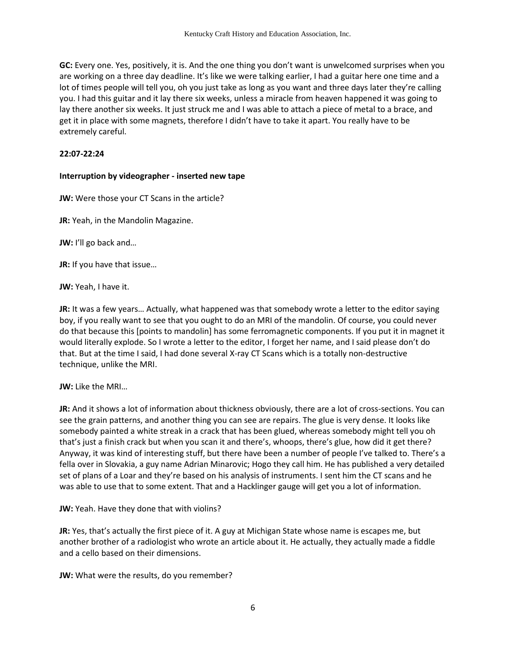**GC:** Every one. Yes, positively, it is. And the one thing you don't want is unwelcomed surprises when you are working on a three day deadline. It's like we were talking earlier, I had a guitar here one time and a lot of times people will tell you, oh you just take as long as you want and three days later they're calling you. I had this guitar and it lay there six weeks, unless a miracle from heaven happened it was going to lay there another six weeks. It just struck me and I was able to attach a piece of metal to a brace, and get it in place with some magnets, therefore I didn't have to take it apart. You really have to be extremely careful.

### **22:07-22:24**

### **Interruption by videographer - inserted new tape**

**JW:** Were those your CT Scans in the article?

**JR:** Yeah, in the Mandolin Magazine.

**JW:** I'll go back and…

**JR:** If you have that issue…

**JW:** Yeah, I have it.

**JR:** It was a few years… Actually, what happened was that somebody wrote a letter to the editor saying boy, if you really want to see that you ought to do an MRI of the mandolin. Of course, you could never do that because this [points to mandolin] has some ferromagnetic components. If you put it in magnet it would literally explode. So I wrote a letter to the editor, I forget her name, and I said please don't do that. But at the time I said, I had done several X-ray CT Scans which is a totally non-destructive technique, unlike the MRI.

**JW:** Like the MRI…

**JR:** And it shows a lot of information about thickness obviously, there are a lot of cross-sections. You can see the grain patterns, and another thing you can see are repairs. The glue is very dense. It looks like somebody painted a white streak in a crack that has been glued, whereas somebody might tell you oh that's just a finish crack but when you scan it and there's, whoops, there's glue, how did it get there? Anyway, it was kind of interesting stuff, but there have been a number of people I've talked to. There's a fella over in Slovakia, a guy name Adrian Minarovic; Hogo they call him. He has published a very detailed set of plans of a Loar and they're based on his analysis of instruments. I sent him the CT scans and he was able to use that to some extent. That and a Hacklinger gauge will get you a lot of information.

**JW:** Yeah. Have they done that with violins?

**JR:** Yes, that's actually the first piece of it. A guy at Michigan State whose name is escapes me, but another brother of a radiologist who wrote an article about it. He actually, they actually made a fiddle and a cello based on their dimensions.

**JW:** What were the results, do you remember?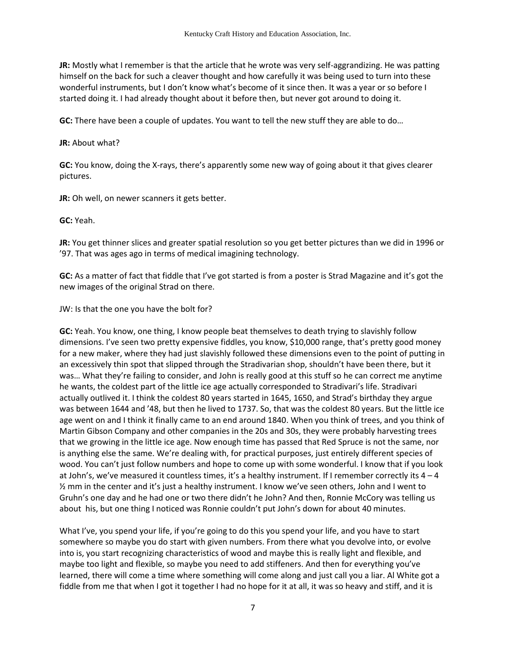**JR:** Mostly what I remember is that the article that he wrote was very self-aggrandizing. He was patting himself on the back for such a cleaver thought and how carefully it was being used to turn into these wonderful instruments, but I don't know what's become of it since then. It was a year or so before I started doing it. I had already thought about it before then, but never got around to doing it.

**GC:** There have been a couple of updates. You want to tell the new stuff they are able to do…

### **JR:** About what?

**GC:** You know, doing the X-rays, there's apparently some new way of going about it that gives clearer pictures.

**JR:** Oh well, on newer scanners it gets better.

**GC:** Yeah.

**JR:** You get thinner slices and greater spatial resolution so you get better pictures than we did in 1996 or '97. That was ages ago in terms of medical imagining technology.

**GC:** As a matter of fact that fiddle that I've got started is from a poster is Strad Magazine and it's got the new images of the original Strad on there.

JW: Is that the one you have the bolt for?

**GC:** Yeah. You know, one thing, I know people beat themselves to death trying to slavishly follow dimensions. I've seen two pretty expensive fiddles, you know, \$10,000 range, that's pretty good money for a new maker, where they had just slavishly followed these dimensions even to the point of putting in an excessively thin spot that slipped through the Stradivarian shop, shouldn't have been there, but it was... What they're failing to consider, and John is really good at this stuff so he can correct me anytime he wants, the coldest part of the little ice age actually corresponded to Stradivari's life. Stradivari actually outlived it. I think the coldest 80 years started in 1645, 1650, and Strad's birthday they argue was between 1644 and '48, but then he lived to 1737. So, that was the coldest 80 years. But the little ice age went on and I think it finally came to an end around 1840. When you think of trees, and you think of Martin Gibson Company and other companies in the 20s and 30s, they were probably harvesting trees that we growing in the little ice age. Now enough time has passed that Red Spruce is not the same, nor is anything else the same. We're dealing with, for practical purposes, just entirely different species of wood. You can't just follow numbers and hope to come up with some wonderful. I know that if you look at John's, we've measured it countless times, it's a healthy instrument. If I remember correctly its  $4 - 4$ ½ mm in the center and it's just a healthy instrument. I know we've seen others, John and I went to Gruhn's one day and he had one or two there didn't he John? And then, Ronnie McCory was telling us about his, but one thing I noticed was Ronnie couldn't put John's down for about 40 minutes.

What I've, you spend your life, if you're going to do this you spend your life, and you have to start somewhere so maybe you do start with given numbers. From there what you devolve into, or evolve into is, you start recognizing characteristics of wood and maybe this is really light and flexible, and maybe too light and flexible, so maybe you need to add stiffeners. And then for everything you've learned, there will come a time where something will come along and just call you a liar. Al White got a fiddle from me that when I got it together I had no hope for it at all, it was so heavy and stiff, and it is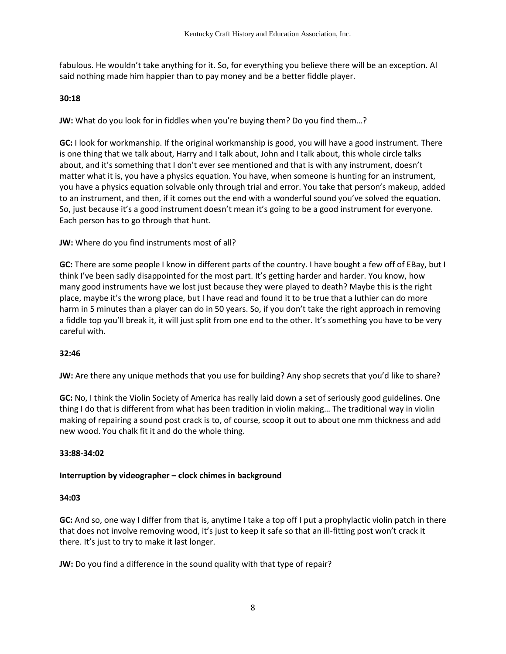fabulous. He wouldn't take anything for it. So, for everything you believe there will be an exception. Al said nothing made him happier than to pay money and be a better fiddle player.

## **30:18**

**JW:** What do you look for in fiddles when you're buying them? Do you find them…?

**GC:** I look for workmanship. If the original workmanship is good, you will have a good instrument. There is one thing that we talk about, Harry and I talk about, John and I talk about, this whole circle talks about, and it's something that I don't ever see mentioned and that is with any instrument, doesn't matter what it is, you have a physics equation. You have, when someone is hunting for an instrument, you have a physics equation solvable only through trial and error. You take that person's makeup, added to an instrument, and then, if it comes out the end with a wonderful sound you've solved the equation. So, just because it's a good instrument doesn't mean it's going to be a good instrument for everyone. Each person has to go through that hunt.

**JW:** Where do you find instruments most of all?

**GC:** There are some people I know in different parts of the country. I have bought a few off of EBay, but I think I've been sadly disappointed for the most part. It's getting harder and harder. You know, how many good instruments have we lost just because they were played to death? Maybe this is the right place, maybe it's the wrong place, but I have read and found it to be true that a luthier can do more harm in 5 minutes than a player can do in 50 years. So, if you don't take the right approach in removing a fiddle top you'll break it, it will just split from one end to the other. It's something you have to be very careful with.

## **32:46**

**JW:** Are there any unique methods that you use for building? Any shop secrets that you'd like to share?

**GC:** No, I think the Violin Society of America has really laid down a set of seriously good guidelines. One thing I do that is different from what has been tradition in violin making… The traditional way in violin making of repairing a sound post crack is to, of course, scoop it out to about one mm thickness and add new wood. You chalk fit it and do the whole thing.

#### **33:88-34:02**

## **Interruption by videographer – clock chimes in background**

#### **34:03**

**GC:** And so, one way I differ from that is, anytime I take a top off I put a prophylactic violin patch in there that does not involve removing wood, it's just to keep it safe so that an ill-fitting post won't crack it there. It's just to try to make it last longer.

**JW:** Do you find a difference in the sound quality with that type of repair?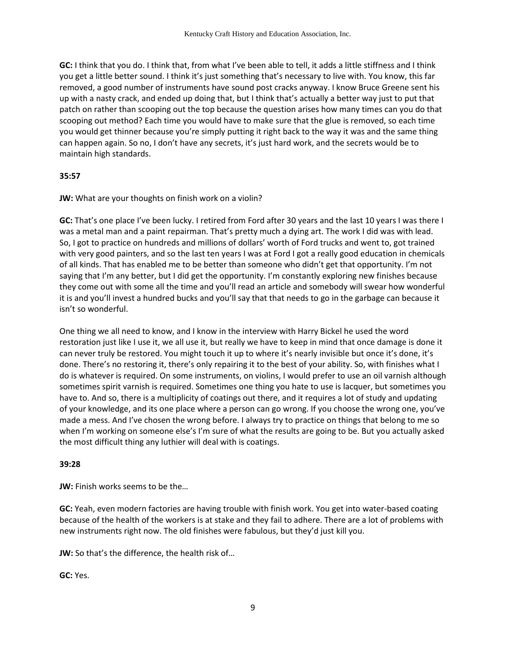**GC:** I think that you do. I think that, from what I've been able to tell, it adds a little stiffness and I think you get a little better sound. I think it's just something that's necessary to live with. You know, this far removed, a good number of instruments have sound post cracks anyway. I know Bruce Greene sent his up with a nasty crack, and ended up doing that, but I think that's actually a better way just to put that patch on rather than scooping out the top because the question arises how many times can you do that scooping out method? Each time you would have to make sure that the glue is removed, so each time you would get thinner because you're simply putting it right back to the way it was and the same thing can happen again. So no, I don't have any secrets, it's just hard work, and the secrets would be to maintain high standards.

### **35:57**

**JW:** What are your thoughts on finish work on a violin?

**GC:** That's one place I've been lucky. I retired from Ford after 30 years and the last 10 years I was there I was a metal man and a paint repairman. That's pretty much a dying art. The work I did was with lead. So, I got to practice on hundreds and millions of dollars' worth of Ford trucks and went to, got trained with very good painters, and so the last ten years I was at Ford I got a really good education in chemicals of all kinds. That has enabled me to be better than someone who didn't get that opportunity. I'm not saying that I'm any better, but I did get the opportunity. I'm constantly exploring new finishes because they come out with some all the time and you'll read an article and somebody will swear how wonderful it is and you'll invest a hundred bucks and you'll say that that needs to go in the garbage can because it isn't so wonderful.

One thing we all need to know, and I know in the interview with Harry Bickel he used the word restoration just like I use it, we all use it, but really we have to keep in mind that once damage is done it can never truly be restored. You might touch it up to where it's nearly invisible but once it's done, it's done. There's no restoring it, there's only repairing it to the best of your ability. So, with finishes what I do is whatever is required. On some instruments, on violins, I would prefer to use an oil varnish although sometimes spirit varnish is required. Sometimes one thing you hate to use is lacquer, but sometimes you have to. And so, there is a multiplicity of coatings out there, and it requires a lot of study and updating of your knowledge, and its one place where a person can go wrong. If you choose the wrong one, you've made a mess. And I've chosen the wrong before. I always try to practice on things that belong to me so when I'm working on someone else's I'm sure of what the results are going to be. But you actually asked the most difficult thing any luthier will deal with is coatings.

## **39:28**

**JW:** Finish works seems to be the…

**GC:** Yeah, even modern factories are having trouble with finish work. You get into water-based coating because of the health of the workers is at stake and they fail to adhere. There are a lot of problems with new instruments right now. The old finishes were fabulous, but they'd just kill you.

**JW:** So that's the difference, the health risk of…

**GC:** Yes.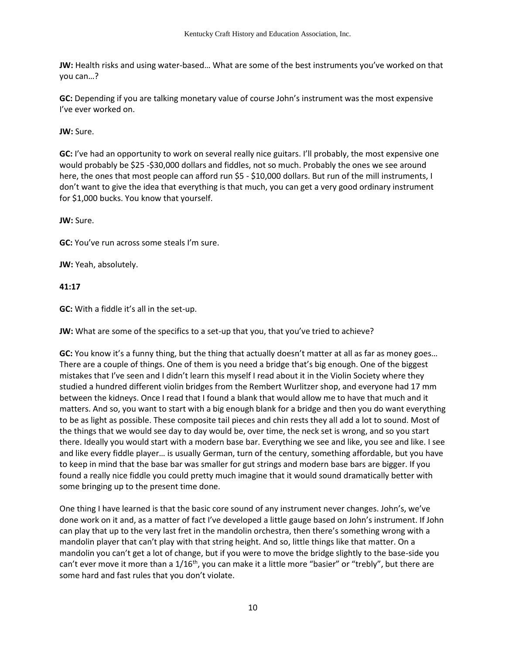**JW:** Health risks and using water-based… What are some of the best instruments you've worked on that you can…?

**GC:** Depending if you are talking monetary value of course John's instrument was the most expensive I've ever worked on.

**JW:** Sure.

**GC:** I've had an opportunity to work on several really nice guitars. I'll probably, the most expensive one would probably be \$25 -\$30,000 dollars and fiddles, not so much. Probably the ones we see around here, the ones that most people can afford run \$5 - \$10,000 dollars. But run of the mill instruments, I don't want to give the idea that everything is that much, you can get a very good ordinary instrument for \$1,000 bucks. You know that yourself.

**JW:** Sure.

**GC:** You've run across some steals I'm sure.

**JW:** Yeah, absolutely.

**41:17**

**GC:** With a fiddle it's all in the set-up.

**JW:** What are some of the specifics to a set-up that you, that you've tried to achieve?

**GC:** You know it's a funny thing, but the thing that actually doesn't matter at all as far as money goes… There are a couple of things. One of them is you need a bridge that's big enough. One of the biggest mistakes that I've seen and I didn't learn this myself I read about it in the Violin Society where they studied a hundred different violin bridges from the Rembert Wurlitzer shop, and everyone had 17 mm between the kidneys. Once I read that I found a blank that would allow me to have that much and it matters. And so, you want to start with a big enough blank for a bridge and then you do want everything to be as light as possible. These composite tail pieces and chin rests they all add a lot to sound. Most of the things that we would see day to day would be, over time, the neck set is wrong, and so you start there. Ideally you would start with a modern base bar. Everything we see and like, you see and like. I see and like every fiddle player… is usually German, turn of the century, something affordable, but you have to keep in mind that the base bar was smaller for gut strings and modern base bars are bigger. If you found a really nice fiddle you could pretty much imagine that it would sound dramatically better with some bringing up to the present time done.

One thing I have learned is that the basic core sound of any instrument never changes. John's, we've done work on it and, as a matter of fact I've developed a little gauge based on John's instrument. If John can play that up to the very last fret in the mandolin orchestra, then there's something wrong with a mandolin player that can't play with that string height. And so, little things like that matter. On a mandolin you can't get a lot of change, but if you were to move the bridge slightly to the base-side you can't ever move it more than a  $1/16$ <sup>th</sup>, you can make it a little more "basier" or "trebly", but there are some hard and fast rules that you don't violate.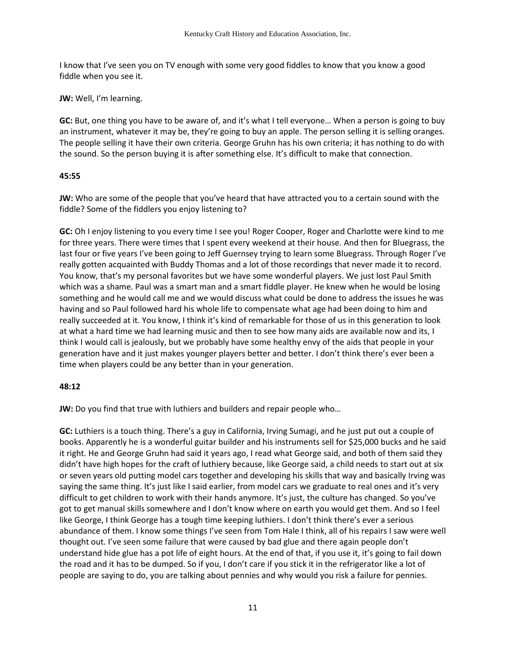I know that I've seen you on TV enough with some very good fiddles to know that you know a good fiddle when you see it.

### **JW:** Well, I'm learning.

**GC:** But, one thing you have to be aware of, and it's what I tell everyone… When a person is going to buy an instrument, whatever it may be, they're going to buy an apple. The person selling it is selling oranges. The people selling it have their own criteria. George Gruhn has his own criteria; it has nothing to do with the sound. So the person buying it is after something else. It's difficult to make that connection.

## **45:55**

**JW:** Who are some of the people that you've heard that have attracted you to a certain sound with the fiddle? Some of the fiddlers you enjoy listening to?

**GC:** Oh I enjoy listening to you every time I see you! Roger Cooper, Roger and Charlotte were kind to me for three years. There were times that I spent every weekend at their house. And then for Bluegrass, the last four or five years I've been going to Jeff Guernsey trying to learn some Bluegrass. Through Roger I've really gotten acquainted with Buddy Thomas and a lot of those recordings that never made it to record. You know, that's my personal favorites but we have some wonderful players. We just lost Paul Smith which was a shame. Paul was a smart man and a smart fiddle player. He knew when he would be losing something and he would call me and we would discuss what could be done to address the issues he was having and so Paul followed hard his whole life to compensate what age had been doing to him and really succeeded at it. You know, I think it's kind of remarkable for those of us in this generation to look at what a hard time we had learning music and then to see how many aids are available now and its, I think I would call is jealously, but we probably have some healthy envy of the aids that people in your generation have and it just makes younger players better and better. I don't think there's ever been a time when players could be any better than in your generation.

## **48:12**

**JW:** Do you find that true with luthiers and builders and repair people who…

**GC:** Luthiers is a touch thing. There's a guy in California, Irving Sumagi, and he just put out a couple of books. Apparently he is a wonderful guitar builder and his instruments sell for \$25,000 bucks and he said it right. He and George Gruhn had said it years ago, I read what George said, and both of them said they didn't have high hopes for the craft of luthiery because, like George said, a child needs to start out at six or seven years old putting model cars together and developing his skills that way and basically Irving was saying the same thing. It's just like I said earlier, from model cars we graduate to real ones and it's very difficult to get children to work with their hands anymore. It's just, the culture has changed. So you've got to get manual skills somewhere and I don't know where on earth you would get them. And so I feel like George, I think George has a tough time keeping luthiers. I don't think there's ever a serious abundance of them. I know some things I've seen from Tom Hale I think, all of his repairs I saw were well thought out. I've seen some failure that were caused by bad glue and there again people don't understand hide glue has a pot life of eight hours. At the end of that, if you use it, it's going to fail down the road and it has to be dumped. So if you, I don't care if you stick it in the refrigerator like a lot of people are saying to do, you are talking about pennies and why would you risk a failure for pennies.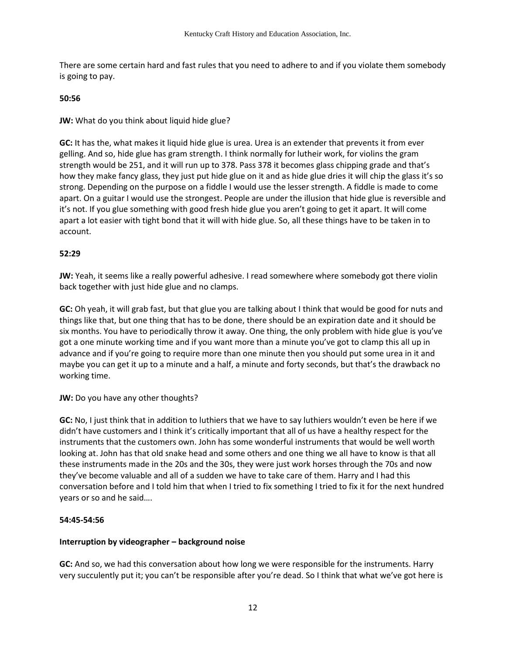There are some certain hard and fast rules that you need to adhere to and if you violate them somebody is going to pay.

### **50:56**

**JW:** What do you think about liquid hide glue?

**GC:** It has the, what makes it liquid hide glue is urea. Urea is an extender that prevents it from ever gelling. And so, hide glue has gram strength. I think normally for lutheir work, for violins the gram strength would be 251, and it will run up to 378. Pass 378 it becomes glass chipping grade and that's how they make fancy glass, they just put hide glue on it and as hide glue dries it will chip the glass it's so strong. Depending on the purpose on a fiddle I would use the lesser strength. A fiddle is made to come apart. On a guitar I would use the strongest. People are under the illusion that hide glue is reversible and it's not. If you glue something with good fresh hide glue you aren't going to get it apart. It will come apart a lot easier with tight bond that it will with hide glue. So, all these things have to be taken in to account.

# **52:29**

**JW:** Yeah, it seems like a really powerful adhesive. I read somewhere where somebody got there violin back together with just hide glue and no clamps.

**GC:** Oh yeah, it will grab fast, but that glue you are talking about I think that would be good for nuts and things like that, but one thing that has to be done, there should be an expiration date and it should be six months. You have to periodically throw it away. One thing, the only problem with hide glue is you've got a one minute working time and if you want more than a minute you've got to clamp this all up in advance and if you're going to require more than one minute then you should put some urea in it and maybe you can get it up to a minute and a half, a minute and forty seconds, but that's the drawback no working time.

## **JW:** Do you have any other thoughts?

**GC:** No, I just think that in addition to luthiers that we have to say luthiers wouldn't even be here if we didn't have customers and I think it's critically important that all of us have a healthy respect for the instruments that the customers own. John has some wonderful instruments that would be well worth looking at. John has that old snake head and some others and one thing we all have to know is that all these instruments made in the 20s and the 30s, they were just work horses through the 70s and now they've become valuable and all of a sudden we have to take care of them. Harry and I had this conversation before and I told him that when I tried to fix something I tried to fix it for the next hundred years or so and he said….

## **54:45-54:56**

## **Interruption by videographer – background noise**

**GC:** And so, we had this conversation about how long we were responsible for the instruments. Harry very succulently put it; you can't be responsible after you're dead. So I think that what we've got here is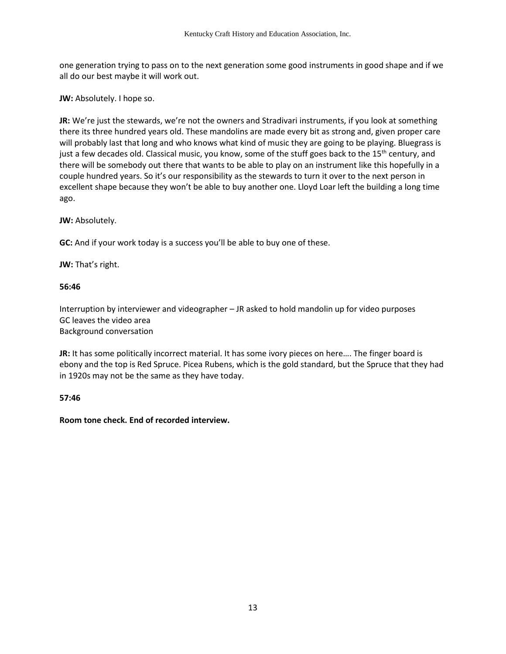one generation trying to pass on to the next generation some good instruments in good shape and if we all do our best maybe it will work out.

**JW:** Absolutely. I hope so.

**JR:** We're just the stewards, we're not the owners and Stradivari instruments, if you look at something there its three hundred years old. These mandolins are made every bit as strong and, given proper care will probably last that long and who knows what kind of music they are going to be playing. Bluegrass is just a few decades old. Classical music, you know, some of the stuff goes back to the  $15<sup>th</sup>$  century, and there will be somebody out there that wants to be able to play on an instrument like this hopefully in a couple hundred years. So it's our responsibility as the stewards to turn it over to the next person in excellent shape because they won't be able to buy another one. Lloyd Loar left the building a long time ago.

**JW:** Absolutely.

**GC:** And if your work today is a success you'll be able to buy one of these.

**JW:** That's right.

#### **56:46**

Interruption by interviewer and videographer – JR asked to hold mandolin up for video purposes GC leaves the video area Background conversation

**JR:** It has some politically incorrect material. It has some ivory pieces on here…. The finger board is ebony and the top is Red Spruce. Picea Rubens, which is the gold standard, but the Spruce that they had in 1920s may not be the same as they have today.

## **57:46**

**Room tone check. End of recorded interview.**